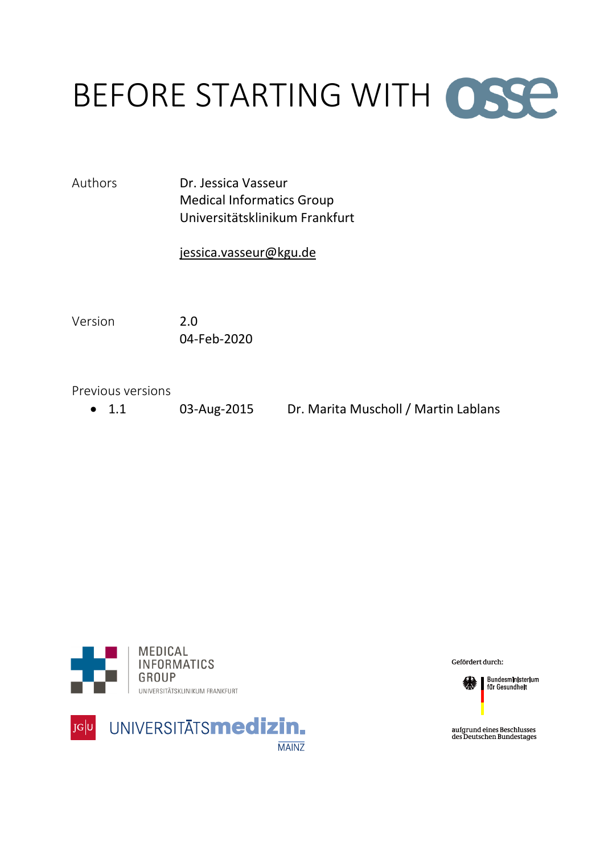# BEFORE STARTING WITH OSSE

Authors Dr. Jessica Vasseur Medical Informatics Group Universitätsklinikum Frankfurt

#### [jessica.vasseur@kgu.de](mailto:jessica.vasseur@kgu.de)

Version 2.0 04-Feb-2020

Previous versions

1.1 03-Aug-2015 Dr. Marita Muscholl / Martin Lablans





Gefördert durch:



Bundesministerium<br>für Gesundheit

aufgrund eines Beschlusses<br>des Deutschen Bundestages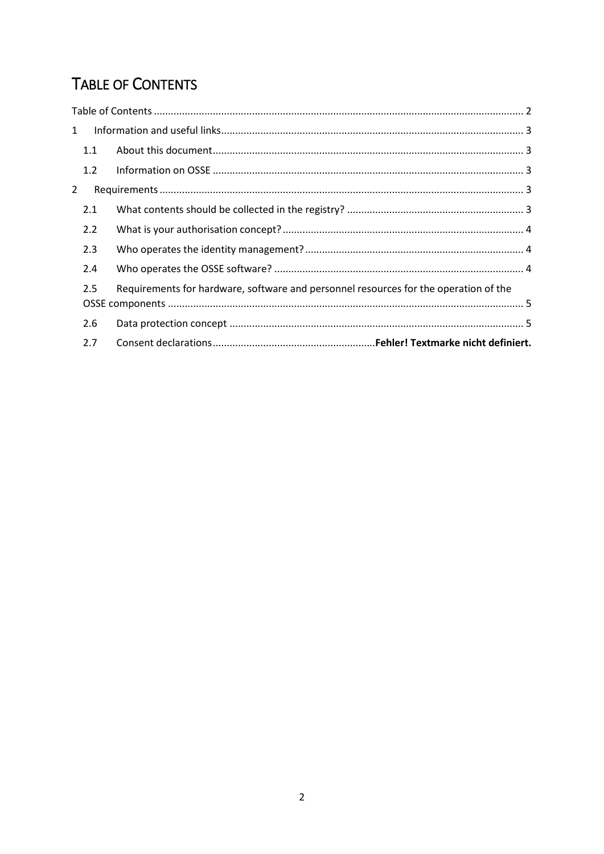## <span id="page-1-0"></span>**TABLE OF CONTENTS**

| $\mathbf{1}$ |     |                                                                                      |  |
|--------------|-----|--------------------------------------------------------------------------------------|--|
|              | 1.1 |                                                                                      |  |
|              | 1.2 |                                                                                      |  |
| 2            |     |                                                                                      |  |
|              | 2.1 |                                                                                      |  |
|              | 2.2 |                                                                                      |  |
|              | 2.3 |                                                                                      |  |
|              | 2.4 |                                                                                      |  |
|              | 2.5 | Requirements for hardware, software and personnel resources for the operation of the |  |
|              | 2.6 |                                                                                      |  |
|              | 2.7 |                                                                                      |  |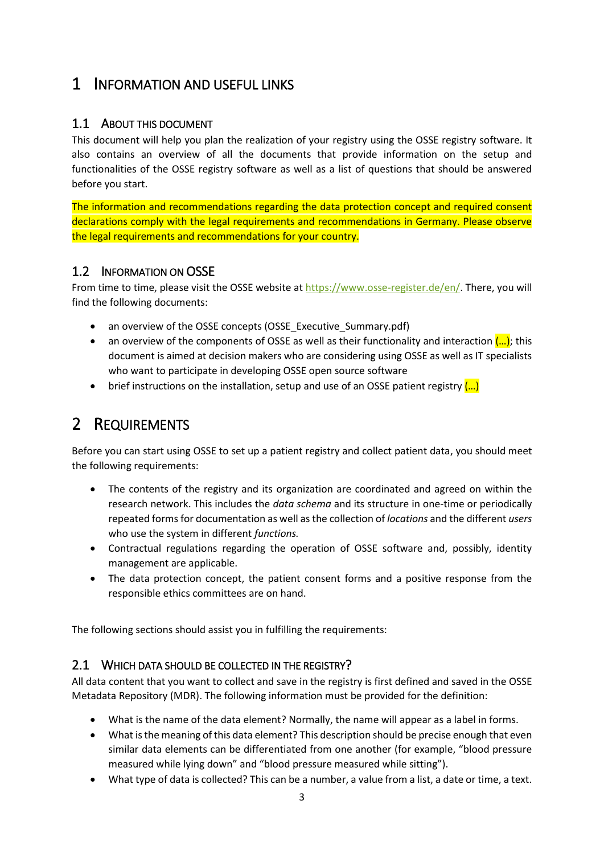### <span id="page-2-0"></span>1 INFORMATION AND USEFUL LINKS

#### <span id="page-2-1"></span>1.1 ABOUT THIS DOCUMENT

This document will help you plan the realization of your registry using the OSSE registry software. It also contains an overview of all the documents that provide information on the setup and functionalities of the OSSE registry software as well as a list of questions that should be answered before you start.

The information and recommendations regarding the data protection concept and required consent declarations comply with the legal requirements and recommendations in Germany. Please observe the legal requirements and recommendations for your country.

#### <span id="page-2-2"></span>1.2 INFORMATION ON OSSE

From time to time, please visit the OSSE website at [https://www.osse-register.de/en/.](https://www.osse-register.de/en/) There, you will find the following documents:

- an overview of the OSSE concepts (OSSE\_Executive\_Summary.pdf)
- **•** an overview of the components of OSSE as well as their functionality and interaction  $(...)$ ; this document is aimed at decision makers who are considering using OSSE as well as IT specialists who want to participate in developing OSSE open source software
- brief instructions on the installation, setup and use of an OSSE patient registry  $\left(\ldots\right)$

## <span id="page-2-3"></span>2 REQUIREMENTS

Before you can start using OSSE to set up a patient registry and collect patient data, you should meet the following requirements:

- The contents of the registry and its organization are coordinated and agreed on within the research network. This includes the *data schema* and its structure in one-time or periodically repeated forms for documentation as well as the collection of *locations* and the different *users* who use the system in different *functions.*
- Contractual regulations regarding the operation of OSSE software and, possibly, identity management are applicable.
- The data protection concept, the patient consent forms and a positive response from the responsible ethics committees are on hand.

The following sections should assist you in fulfilling the requirements:

#### <span id="page-2-4"></span>2.1 WHICH DATA SHOULD BE COLLECTED IN THE REGISTRY?

All data content that you want to collect and save in the registry is first defined and saved in the OSSE Metadata Repository (MDR). The following information must be provided for the definition:

- What is the name of the data element? Normally, the name will appear as a label in forms.
- What is the meaning of this data element? This description should be precise enough that even similar data elements can be differentiated from one another (for example, "blood pressure measured while lying down" and "blood pressure measured while sitting").
- What type of data is collected? This can be a number, a value from a list, a date or time, a text.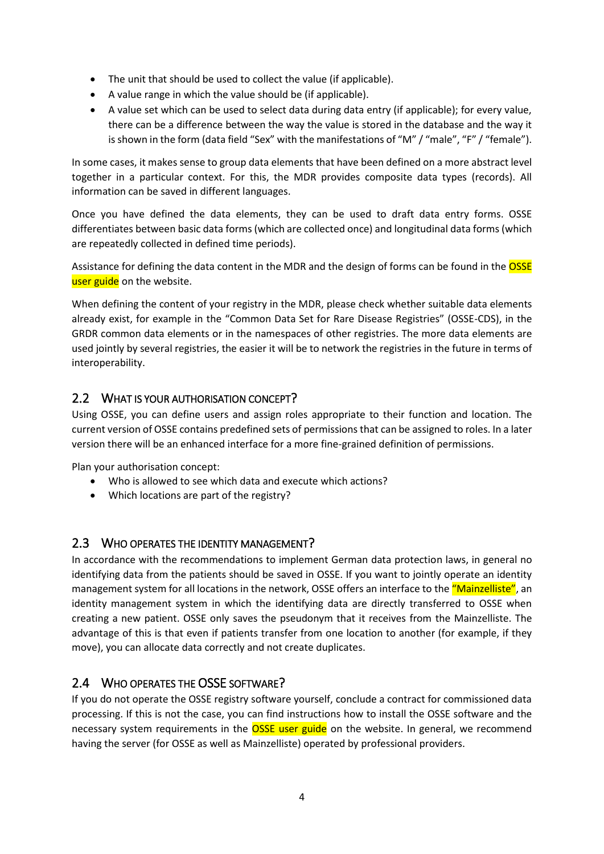- The unit that should be used to collect the value (if applicable).
- A value range in which the value should be (if applicable).
- A value set which can be used to select data during data entry (if applicable); for every value, there can be a difference between the way the value is stored in the database and the way it is shown in the form (data field "Sex" with the manifestations of "M" / "male", "F" / "female").

In some cases, it makes sense to group data elements that have been defined on a more abstract level together in a particular context. For this, the MDR provides composite data types (records). All information can be saved in different languages.

Once you have defined the data elements, they can be used to draft data entry forms. OSSE differentiates between basic data forms (which are collected once) and longitudinal data forms (which are repeatedly collected in defined time periods).

Assistance for defining the data content in the MDR and the design of forms can be found in the **OSSE** user guide on the website.

When defining the content of your registry in the MDR, please check whether suitable data elements already exist, for example in the "Common Data Set for Rare Disease Registries" (OSSE-CDS), in the GRDR common data elements or in the namespaces of other registries. The more data elements are used jointly by several registries, the easier it will be to network the registries in the future in terms of interoperability.

#### <span id="page-3-0"></span>2.2 WHAT IS YOUR AUTHORISATION CONCEPT?

Using OSSE, you can define users and assign roles appropriate to their function and location. The current version of OSSE contains predefined sets of permissions that can be assigned to roles. In a later version there will be an enhanced interface for a more fine-grained definition of permissions.

Plan your authorisation concept:

- Who is allowed to see which data and execute which actions?
- Which locations are part of the registry?

#### <span id="page-3-1"></span>2.3 WHO OPERATES THE IDENTITY MANAGEMENT?

In accordance with the recommendations to implement German data protection laws, in general no identifying data from the patients should be saved in OSSE. If you want to jointly operate an identity management system for all locations in the network, OSSE offers an interface to the "Mainzelliste", an identity management system in which the identifying data are directly transferred to OSSE when creating a new patient. OSSE only saves the pseudonym that it receives from the Mainzelliste. The advantage of this is that even if patients transfer from one location to another (for example, if they move), you can allocate data correctly and not create duplicates.

#### <span id="page-3-2"></span>2.4 WHO OPERATES THE OSSE SOFTWARE?

If you do not operate the OSSE registry software yourself, conclude a contract for commissioned data processing. If this is not the case, you can find instructions how to install the OSSE software and the necessary system requirements in the **OSSE** user guide on the website. In general, we recommend having the server (for OSSE as well as Mainzelliste) operated by professional providers.